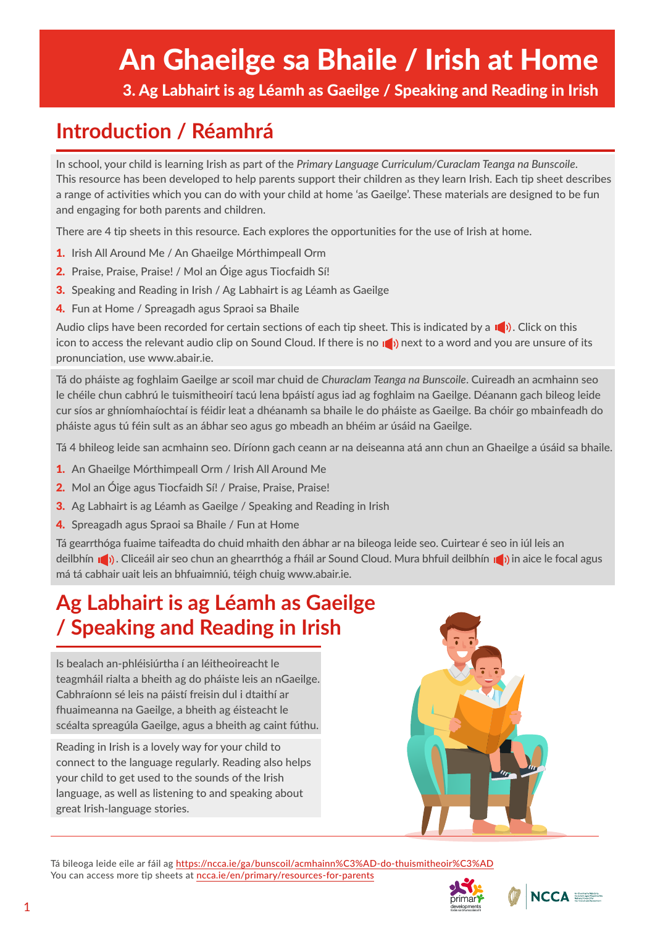# An Ghaeilge sa Bhaile / Irish at Home

3. Ag Labhairt is ag Léamh as Gaeilge / Speaking and Reading in Irish

# **Introduction / Réamhrá**

In school, your child is learning Irish as part of the *Primary Language Curriculum/Curaclam Teanga na Bunscoile*. This resource has been developed to help parents support their children as they learn Irish. Each tip sheet describes a range of activities which you can do with your child at home 'as Gaeilge'. These materials are designed to be fun and engaging for both parents and children.

There are 4 tip sheets in this resource. Each explores the opportunities for the use of Irish at home.

- 1. Irish All Around Me / An Ghaeilge Mórthimpeall Orm
- 2. Praise, Praise, Praise! / Mol an Óige agus Tiocfaidh Sí!
- 3. Speaking and Reading in Irish / Ag Labhairt is ag Léamh as Gaeilge
- 4. Fun at Home / Spreagadh agus Spraoi sa Bhaile

Audio clips have been recorded for certain sections of each tip sheet. This is indicated by a  $\Box$ ). Click on this icon to access the relevant audio clip on Sound Cloud. If there is no not not to a word and you are unsure of its pronunciation, use www.abair.ie.

Tá do pháiste ag foghlaim Gaeilge ar scoil mar chuid de *Churaclam Teanga na Bunscoile*. Cuireadh an acmhainn seo le chéile chun cabhrú le tuismitheoirí tacú lena bpáistí agus iad ag foghlaim na Gaeilge. Déanann gach bileog leide cur síos ar ghníomhaíochtaí is féidir leat a dhéanamh sa bhaile le do pháiste as Gaeilge. Ba chóir go mbainfeadh do pháiste agus tú féin sult as an ábhar seo agus go mbeadh an bhéim ar úsáid na Gaeilge.

Tá 4 bhileog leide san acmhainn seo. Díríonn gach ceann ar na deiseanna atá ann chun an Ghaeilge a úsáid sa bhaile.

- 1. An Ghaeilge Mórthimpeall Orm / Irish All Around Me
- 2. Mol an Óige agus Tiocfaidh Sí! / Praise, Praise, Praise!
- 3. Ag Labhairt is ag Léamh as Gaeilge / Speaking and Reading in Irish
- 4. Spreagadh agus Spraoi sa Bhaile / Fun at Home

Tá gearrthóga fuaime taifeadta do chuid mhaith den ábhar ar na bileoga leide seo. Cuirtear é seo in iúl leis an deilbhín no). Cliceáil air seo chun an ghearrthóg a fháil ar Sound Cloud. Mura bhfuil deilbhín no) in aice le focal agus má tá cabhair uait leis an bhfuaimniú, téigh chuig www.abair.ie.

# **Ag Labhairt is ag Léamh as Gaeilge / Speaking and Reading in Irish**

Is bealach an-phléisiúrtha í an léitheoireacht le teagmháil rialta a bheith ag do pháiste leis an nGaeilge. Cabhraíonn sé leis na páistí freisin dul i dtaithí ar fhuaimeanna na Gaeilge, a bheith ag éisteacht le scéalta spreagúla Gaeilge, agus a bheith ag caint fúthu.

Reading in Irish is a lovely way for your child to connect to the language regularly. Reading also helps your child to get used to the sounds of the Irish language, as well as listening to and speaking about great Irish-language stories.



Tá bileoga leide eile ar fáil ag <https://ncca.ie/ga/bunscoil/acmhainn%C3%AD-do-thuismitheoir%C3%AD> You can access more tip sheets at ncca.ie/en/primary/resources-for-parents



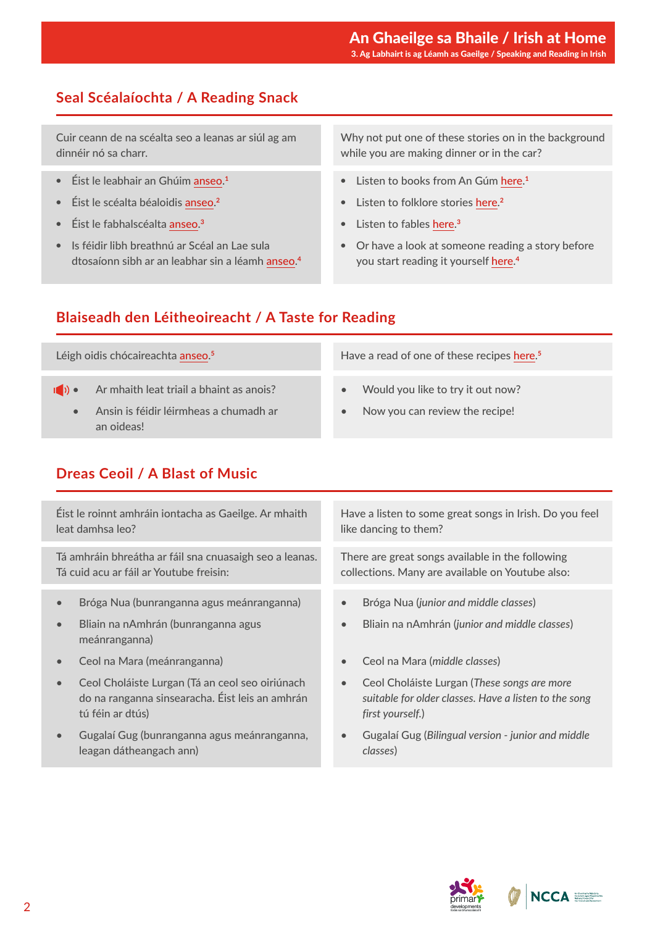#### An Ghaeilge sa Bhaile / Irish at Home 3. Ag Labhairt is ag Léamh as Gaeilge / Speaking and Reading in Irish

# **Seal Scéalaíochta / A Reading Snack**

Cuir ceann de na scéalta seo a leanas ar siúl ag am dinnéir nó sa charr.

- Éist le leabhair an Ghúim [anseo](https://soundcloud.com/forasnagaeilge/sets/an-gum-1). **1**
- Éist le scéalta béaloidis [anseo](http://www.askaboutireland.ie/reading-room/digital-book-collection/talking-ebooks/scealta/). **2**
- Éist le fabhalscéalta [anseo.](https://leighleat.com/fabhalsc%C3%A9alta) **3**
- Is féidir libh breathnú ar Scéal an Lae sula dtosaíonn sibh ar an leabhar sin a léamh [anseo](https://www.youtube.com/playlist?list=PLbcLsUBW9b3AsknOKbR0-K_No4maqeKBB). **4**

Why not put one of these stories on in the background while you are making dinner or in the car?

- Listen to books from An Gúm [here](https://soundcloud.com/forasnagaeilge/sets/an-gum-1). **1**
- Listen to folklore stories [here](http://www.askaboutireland.ie/reading-room/digital-book-collection/talking-ebooks/scealta/). **2**
- Listen to fables [here](https://leighleat.com/fabhalsc%C3%A9alta). **3**
- Or have a look at someone reading a story before you start reading it yourself [here.](https://www.youtube.com/playlist?list=PLbcLsUBW9b3AsknOKbR0-K_No4maqeKBB) **4**

#### **Blaiseadh den Léitheoireacht / A Taste for Reading**

Léigh oidis chócaireachta [anseo](https://www.cula4.com/ga/cula4-na-nog/clair/bia-linn/oidis/). **5**

- $\ket{\bullet}$  Ar mhaith leat triail a bhaint as anois?
	- Ansin is féidir léirmheas a chumadh ar an oideas!

#### Have a read of one of these recipes [here.](https://www.cula4.com/ga/cula4-na-nog/clair/bia-linn/oidis/) **5**

- Would you like to try it out now?
- Now you can review the recipe!

#### **Dreas Ceoil / A Blast of Music**

Éist le roinnt amhráin iontacha as Gaeilge. Ar mhaith leat damhsa leo?

Tá amhráin bhreátha ar fáil sna cnuasaigh seo a leanas. Tá cuid acu ar fáil ar Youtube freisin:

- Bróga Nua (bunranganna agus meánranganna)
- Bliain na nAmhrán (bunranganna agus meánranganna)
- Ceol na Mara (meánranganna)
- Ceol Choláiste Lurgan (Tá an ceol seo oiriúnach do na ranganna sinsearacha. Éist leis an amhrán tú féin ar dtús)
- Gugalaí Gug (bunranganna agus meánranganna, leagan dátheangach ann)

Have a listen to some great songs in Irish. Do you feel like dancing to them?

There are great songs available in the following collections. Many are available on Youtube also:

- Bróga Nua (*junior and middle classes*)
- Bliain na nAmhrán (*junior and middle classes*)
- Ceol na Mara (*middle classes*)
- Ceol Choláiste Lurgan (*These songs are more suitable for older classes. Have a listen to the song first yourself.*)
- Gugalaí Gug (*Bilingual version junior and middle classes*)